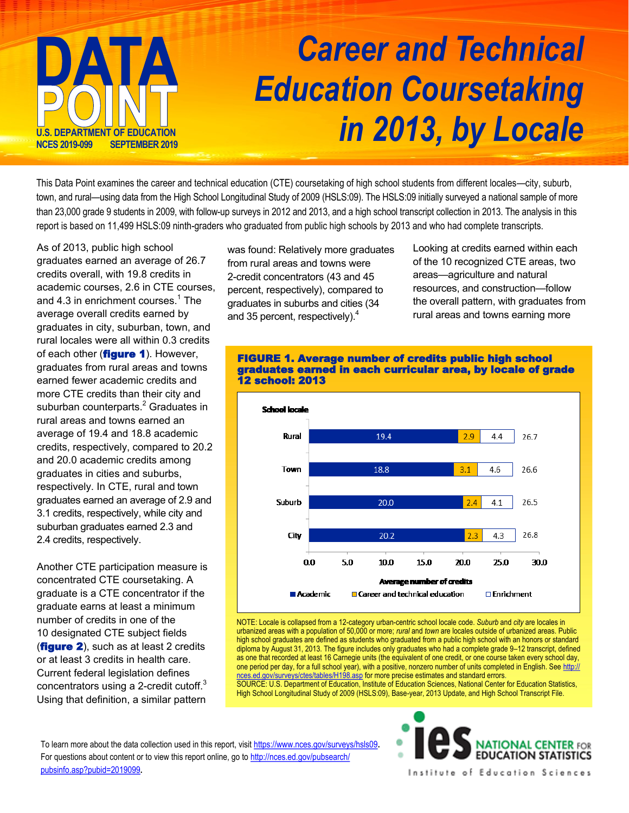

## *Career and Technical Education Coursetaking in 2013, by Locale*

This Data Point examines the career and technical education (CTE) coursetaking of high school students from different locales—city, suburb, town, and rural—using data from the High School Longitudinal Study of 2009 (HSLS:09). The HSLS:09 initially surveyed a national sample of more than 23,000 grade 9 students in 2009, with follow-up surveys in 2012 and 2013, and a high school transcript collection in 2013. The analysis in this report is based on 11,499 HSLS:09 ninth-graders who graduated from public high schools by 2013 and who had complete transcripts.

As of 2013, public high school graduates earned an average of 26.7 credits overall, with 19.8 credits in academic courses, 2.6 in CTE courses, and 4.3 in enrichment courses. $^{\rm 1}$  The average overall credits earned by graduates in city, suburban, town, and rural locales were all within 0.3 credits of each other (**figure 1**). However, graduates from rural areas and towns earned fewer academic credits and more CTE credits than their city and suburban counterparts. $^2$  Graduates in rural areas and towns earned an average of 19.4 and 18.8 academic credits, respectively, compared to 20.2 and 20.0 academic credits among graduates in cities and suburbs, respectively. In CTE, rural and town graduates earned an average of 2.9 and 3.1 credits, respectively, while city and suburban graduates earned 2.3 and 2.4 credits, respectively.

Another CTE participation measure is concentrated CTE coursetaking. A graduate is a CTE concentrator if the graduate earns at least a minimum number of credits in one of the 10 designated CTE subject fields (**figure 2**), such as at least 2 credits or at least 3 credits in health care. Current federal legislation defines concentrators using a 2-credit cutoff. $3$ Using that definition, a similar pattern

was found: Relatively more graduates from rural areas and towns were 2-credit concentrators (43 and 45 percent, respectively), compared to graduates in suburbs and cities (34 and 35 percent, respectively).<sup>4</sup>

Looking at credits earned within each of the 10 recognized CTE areas, two areas—agriculture and natural resources, and construction—follow the overall pattern, with graduates from rural areas and towns earning more



NOTE: Locale is collapsed from a 12-category urban-centric school locale code. *Suburb* and *city* are locales in urbanized areas with a population of 50,000 or more; *rural* and *town* are locales outside of urbanized areas. Public high school graduates are defined as students who graduated from a public high school with an honors or standard diploma by August 31, 2013. The figure includes only graduates who had a complete grade 9–12 transcript, defined as one that recorded at least 16 Carnegie units (the equivalent of one credit, or one course taken every school day, one period per day, for a full school year), with a positive, nonzero number of units completed in English. See [http://](http://nces.ed.gov/surveys/ctes/tables/H198.asp) [nces.ed.gov/surveys/ctes/tables/H198.asp](http://nces.ed.gov/surveys/ctes/tables/H198.asp) for more precise estimates and standard errors. SOURCE: U.S. Department of Education, Institute of Education Sciences, National Center for Education Statistics, High School Longitudinal Study of 2009 (HSLS:09), Base-year, 2013 Update, and High School Transcript File.

To learn more about the data collection used in this report, visit<https://www.nces.gov/surveys/hsls09>**.**  For questions about content or to view this report online, go to [http://nces.ed.gov/pubsearch/](http://nces.ed.gov/pubsearch/pubsinfo.asp?pubid=2019099) [pubsinfo.asp?pubid=2019099](http://nces.ed.gov/pubsearch/pubsinfo.asp?pubid=2019099)**.**



## FIGURE 1. Average number of credits public high school graduates earned in each curricular area, by locale of grade 12 school: 2013